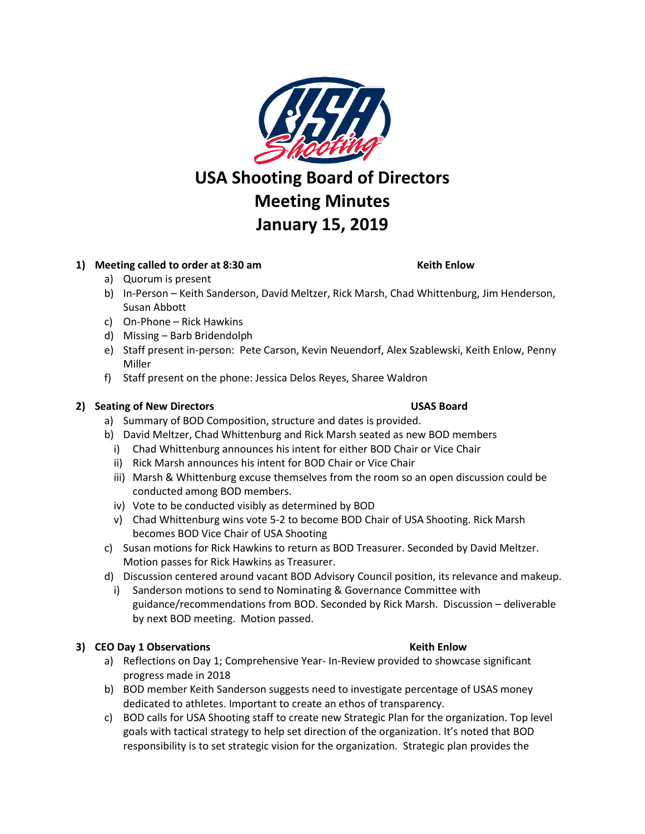

## **1) Meeting called to order at 8:30 am Keith Enlow**

- a) Quorum is present
- b) In-Person Keith Sanderson, David Meltzer, Rick Marsh, Chad Whittenburg, Jim Henderson, Susan Abbott
- c) On-Phone Rick Hawkins
- d) Missing Barb Bridendolph
- e) Staff present in-person: Pete Carson, Kevin Neuendorf, Alex Szablewski, Keith Enlow, Penny Miller
- f) Staff present on the phone: Jessica Delos Reyes, Sharee Waldron

### **2) Seating of New Directors USAS Board**

- a) Summary of BOD Composition, structure and dates is provided.
- b) David Meltzer, Chad Whittenburg and Rick Marsh seated as new BOD members
- i) Chad Whittenburg announces his intent for either BOD Chair or Vice Chair
- ii) Rick Marsh announces his intent for BOD Chair or Vice Chair
- iii) Marsh & Whittenburg excuse themselves from the room so an open discussion could be conducted among BOD members.
- iv) Vote to be conducted visibly as determined by BOD
- v) Chad Whittenburg wins vote 5-2 to become BOD Chair of USA Shooting. Rick Marsh becomes BOD Vice Chair of USA Shooting
- c) Susan motions for Rick Hawkins to return as BOD Treasurer. Seconded by David Meltzer. Motion passes for Rick Hawkins as Treasurer.
- d) Discussion centered around vacant BOD Advisory Council position, its relevance and makeup.
	- i) Sanderson motions to send to Nominating & Governance Committee with guidance/recommendations from BOD. Seconded by Rick Marsh. Discussion – deliverable by next BOD meeting. Motion passed.

## **3) CEO Day 1 Observations Example 2 and Security CEO Day 1 Observations Keith Enlow**

- a) Reflections on Day 1; Comprehensive Year- In-Review provided to showcase significant progress made in 2018
- b) BOD member Keith Sanderson suggests need to investigate percentage of USAS money dedicated to athletes. Important to create an ethos of transparency.
- c) BOD calls for USA Shooting staff to create new Strategic Plan for the organization. Top level goals with tactical strategy to help set direction of the organization. It's noted that BOD responsibility is to set strategic vision for the organization. Strategic plan provides the

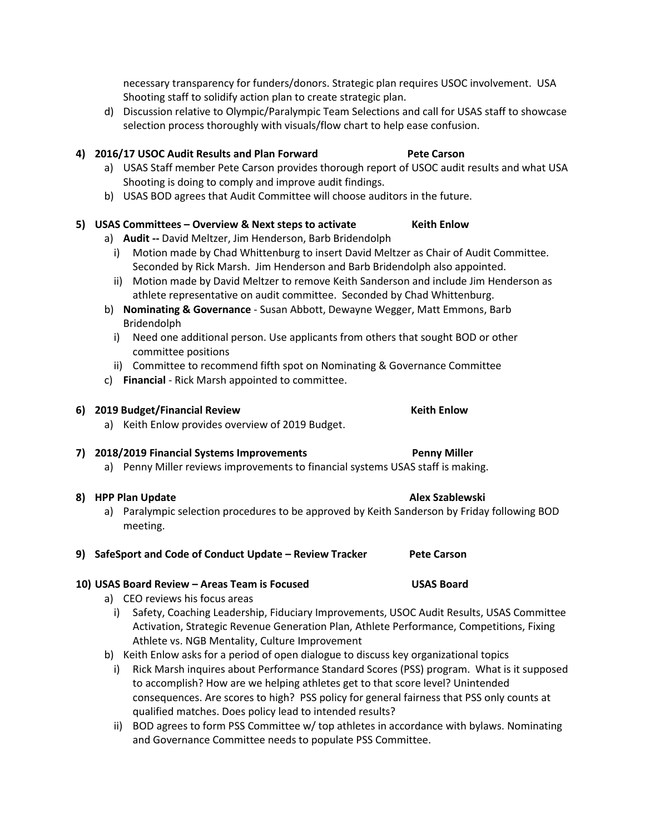necessary transparency for funders/donors. Strategic plan requires USOC involvement. USA Shooting staff to solidify action plan to create strategic plan.

d) Discussion relative to Olympic/Paralympic Team Selections and call for USAS staff to showcase selection process thoroughly with visuals/flow chart to help ease confusion.

## **4) 2016/17 USOC Audit Results and Plan Forward Pete Carson**

- a) USAS Staff member Pete Carson provides thorough report of USOC audit results and what USA Shooting is doing to comply and improve audit findings.
- b) USAS BOD agrees that Audit Committee will choose auditors in the future.

## **5) USAS Committees – Overview & Next steps to activate Keith Enlow**

- a) **Audit --** David Meltzer, Jim Henderson, Barb Bridendolph
	- i) Motion made by Chad Whittenburg to insert David Meltzer as Chair of Audit Committee. Seconded by Rick Marsh. Jim Henderson and Barb Bridendolph also appointed.
	- ii) Motion made by David Meltzer to remove Keith Sanderson and include Jim Henderson as athlete representative on audit committee. Seconded by Chad Whittenburg.
- b) **Nominating & Governance** Susan Abbott, Dewayne Wegger, Matt Emmons, Barb Bridendolph
	- i) Need one additional person. Use applicants from others that sought BOD or other committee positions
	- ii) Committee to recommend fifth spot on Nominating & Governance Committee
- c) **Financial** Rick Marsh appointed to committee.

# **6) 2019 Budget/Financial Review Keith Enlow**

a) Keith Enlow provides overview of 2019 Budget.

## **7) 2018/2019 Financial Systems Improvements Penny Miller**

a) Penny Miller reviews improvements to financial systems USAS staff is making.

## **8) HPP Plan Update Alex Szablewski Alex Szablewski**

- a) Paralympic selection procedures to be approved by Keith Sanderson by Friday following BOD meeting.
- **9) SafeSport and Code of Conduct Update – Review Tracker Pete Carson**

## **10) USAS Board Review – Areas Team is Focused USAS Board**

- a) CEO reviews his focus areas
	- i) Safety, Coaching Leadership, Fiduciary Improvements, USOC Audit Results, USAS Committee Activation, Strategic Revenue Generation Plan, Athlete Performance, Competitions, Fixing Athlete vs. NGB Mentality, Culture Improvement
- b) Keith Enlow asks for a period of open dialogue to discuss key organizational topics
	- i) Rick Marsh inquires about Performance Standard Scores (PSS) program. What is it supposed to accomplish? How are we helping athletes get to that score level? Unintended consequences. Are scores to high? PSS policy for general fairness that PSS only counts at qualified matches. Does policy lead to intended results?
	- ii) BOD agrees to form PSS Committee w/ top athletes in accordance with bylaws. Nominating and Governance Committee needs to populate PSS Committee.